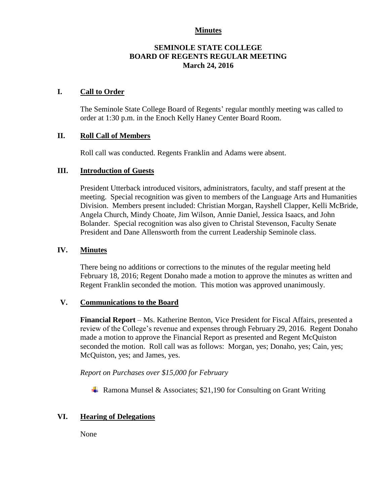### **Minutes**

## **SEMINOLE STATE COLLEGE BOARD OF REGENTS REGULAR MEETING March 24, 2016**

## **I. Call to Order**

The Seminole State College Board of Regents' regular monthly meeting was called to order at 1:30 p.m. in the Enoch Kelly Haney Center Board Room.

#### **II. Roll Call of Members**

Roll call was conducted. Regents Franklin and Adams were absent.

#### **III. Introduction of Guests**

President Utterback introduced visitors, administrators, faculty, and staff present at the meeting. Special recognition was given to members of the Language Arts and Humanities Division. Members present included: Christian Morgan, Rayshell Clapper, Kelli McBride, Angela Church, Mindy Choate, Jim Wilson, Annie Daniel, Jessica Isaacs, and John Bolander. Special recognition was also given to Christal Stevenson, Faculty Senate President and Dane Allensworth from the current Leadership Seminole class.

## **IV. Minutes**

There being no additions or corrections to the minutes of the regular meeting held February 18, 2016; Regent Donaho made a motion to approve the minutes as written and Regent Franklin seconded the motion. This motion was approved unanimously.

### **V. Communications to the Board**

**Financial Report** – Ms. Katherine Benton, Vice President for Fiscal Affairs, presented a review of the College's revenue and expenses through February 29, 2016. Regent Donaho made a motion to approve the Financial Report as presented and Regent McQuiston seconded the motion. Roll call was as follows: Morgan, yes; Donaho, yes; Cain, yes; McQuiston, yes; and James, yes.

*Report on Purchases over \$15,000 for February*

**A** Ramona Munsel & Associates; \$21,190 for Consulting on Grant Writing

# **VI. Hearing of Delegations**

None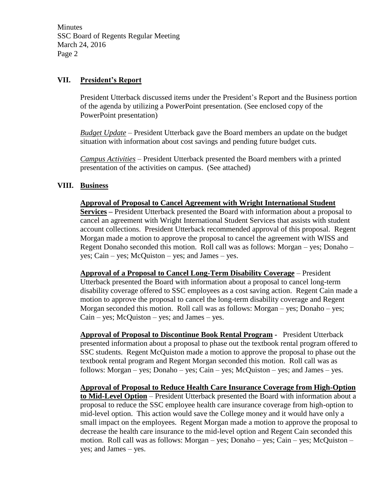**Minutes** SSC Board of Regents Regular Meeting March 24, 2016 Page 2

# **VII. President's Report**

President Utterback discussed items under the President's Report and the Business portion of the agenda by utilizing a PowerPoint presentation. (See enclosed copy of the PowerPoint presentation)

*Budget Update* – President Utterback gave the Board members an update on the budget situation with information about cost savings and pending future budget cuts.

*Campus Activities* – President Utterback presented the Board members with a printed presentation of the activities on campus. (See attached)

# **VIII. Business**

**Approval of Proposal to Cancel Agreement with Wright International Student Services –** President Utterback presented the Board with information about a proposal to cancel an agreement with Wright International Student Services that assists with student account collections. President Utterback recommended approval of this proposal. Regent Morgan made a motion to approve the proposal to cancel the agreement with WISS and Regent Donaho seconded this motion. Roll call was as follows: Morgan – yes; Donaho – yes; Cain – yes; McQuiston – yes; and James – yes.

**Approval of a Proposal to Cancel Long-Term Disability Coverage** – President Utterback presented the Board with information about a proposal to cancel long-term disability coverage offered to SSC employees as a cost saving action. Regent Cain made a motion to approve the proposal to cancel the long-term disability coverage and Regent Morgan seconded this motion. Roll call was as follows: Morgan – yes; Donaho – yes;  $Cain - yes$ ; McQuiston – yes; and James – yes.

**Approval of Proposal to Discontinue Book Rental Program -** President Utterback presented information about a proposal to phase out the textbook rental program offered to SSC students. Regent McQuiston made a motion to approve the proposal to phase out the textbook rental program and Regent Morgan seconded this motion. Roll call was as follows: Morgan – yes; Donaho – yes; Cain – yes; McQuiston – yes; and James – yes.

**Approval of Proposal to Reduce Health Care Insurance Coverage from High-Option to Mid-Level Option** – President Utterback presented the Board with information about a proposal to reduce the SSC employee health care insurance coverage from high-option to mid-level option. This action would save the College money and it would have only a small impact on the employees. Regent Morgan made a motion to approve the proposal to decrease the health care insurance to the mid-level option and Regent Cain seconded this motion. Roll call was as follows: Morgan – yes; Donaho – yes; Cain – yes; McQuiston – yes; and James – yes.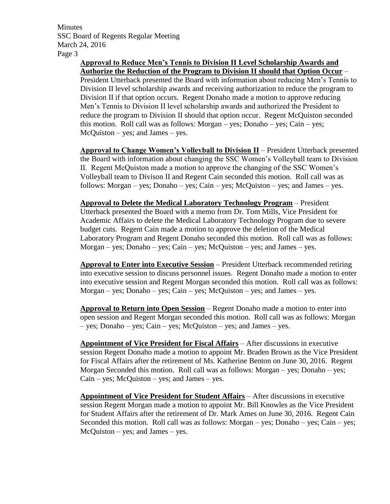**Minutes** SSC Board of Regents Regular Meeting March 24, 2016 Page 3

# **Approval to Reduce Men's Tennis to Division II Level Scholarship Awards and Authorize the Reduction of the Program to Division II should that Option Occur** –

President Utterback presented the Board with information about reducing Men's Tennis to Division II level scholarship awards and receiving authorization to reduce the program to Division II if that option occurs. Regent Donaho made a motion to approve reducing Men's Tennis to Division II level scholarship awards and authorized the President to reduce the program to Division II should that option occur. Regent McQuiston seconded this motion. Roll call was as follows: Morgan – yes; Donaho – yes; Cain – yes; McQuiston – yes; and James – yes.

**Approval to Change Women's Volleyball to Division II** – President Utterback presented the Board with information about changing the SSC Women's Volleyball team to Division II. Regent McQuiston made a motion to approve the changing of the SSC Women's Volleyball team to Divison II and Regent Cain seconded this motion. Roll call was as follows: Morgan – yes; Donaho – yes; Cain – yes; McQuiston – yes; and James – yes.

**Approval to Delete the Medical Laboratory Technology Program** – President Utterback presented the Board with a memo from Dr. Tom Mills, Vice President for Academic Affairs to delete the Medical Laboratory Technology Program due to severe budget cuts. Regent Cain made a motion to approve the deletion of the Medical Laboratory Program and Regent Donaho seconded this motion. Roll call was as follows: Morgan – yes; Donaho – yes; Cain – yes; McQuiston – yes; and James – yes.

**Approval to Enter into Executive Session** – President Utterback recommended retiring into executive session to discuss personnel issues. Regent Donaho made a motion to enter into executive session and Regent Morgan seconded this motion. Roll call was as follows: Morgan – yes; Donaho – yes; Cain – yes; McQuiston – yes; and James – yes.

**Approval to Return into Open Session** – Regent Donaho made a motion to enter into open session and Regent Morgan seconded this motion. Roll call was as follows: Morgan – yes; Donaho – yes; Cain – yes; McQuiston – yes; and James – yes.

**Appointment of Vice President for Fiscal Affairs** – After discussions in executive session Regent Donaho made a motion to appoint Mr. Braden Brown as the Vice President for Fiscal Affairs after the retirement of Ms. Katherine Benton on June 30, 2016. Regent Morgan Seconded this motion. Roll call was as follows: Morgan – yes; Donaho – yes;  $Cain - yes$ ; McQuiston – yes; and James – yes.

**Appointment of Vice President for Student Affairs** – After discussions in executive session Regent Morgan made a motion to appoint Mr. Bill Knowles as the Vice President for Student Affairs after the retirement of Dr. Mark Ames on June 30, 2016. Regent Cain Seconded this motion. Roll call was as follows: Morgan – yes; Donaho – yes; Cain – yes;  $McQuiston - yes$ ; and James – yes.